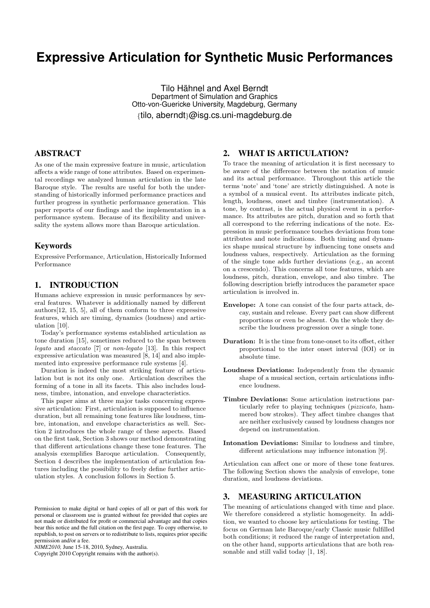# **Expressive Articulation for Synthetic Music Performances**

Tilo Hähnel and Axel Berndt Department of Simulation and Graphics Otto-von-Guericke University, Magdeburg, Germany {tilo, aberndt}@isg.cs.uni-magdeburg.de

# ABSTRACT

As one of the main expressive feature in music, articulation affects a wide range of tone attributes. Based on experimental recordings we analyzed human articulation in the late Baroque style. The results are useful for both the understanding of historically informed performance practices and further progress in synthetic performance generation. This paper reports of our findings and the implementation in a performance system. Because of its flexibility and universality the system allows more than Baroque articulation.

## Keywords

Expressive Performance, Articulation, Historically Informed Performance

# 1. INTRODUCTION

Humans achieve expression in music performances by several features. Whatever is additionally named by different authors[12, 15, 5], all of them conform to three expressive features, which are timing, dynamics (loudness) and articulation [10].

Today's performance systems established articulation as tone duration [15], sometimes reduced to the span between legato and staccato [7] or non-legato [13]. In this respect expressive articulation was measured [8, 14] and also implemented into expressive performance rule systems [4].

Duration is indeed the most striking feature of articulation but is not its only one. Articulation describes the forming of a tone in all its facets. This also includes loudness, timbre, intonation, and envelope characteristics.

This paper aims at three major tasks concerning expressive articulation: First, articulation is supposed to influence duration, but all remaining tone features like loudness, timbre, intonation, and envelope characteristics as well. Section 2 introduces the whole range of these aspects. Based on the first task, Section 3 shows our method demonstrating that different articulations change these tone features. The analysis exemplifies Baroque articulation. Consequently, Section 4 describes the implementation of articulation features including the possibility to freely define further articulation styles. A conclusion follows in Section 5.

Copyright 2010 Copyright remains with the author(s).

# 2. WHAT IS ARTICULATION?

To trace the meaning of articulation it is first necessary to be aware of the difference between the notation of music and its actual performance. Throughout this article the terms 'note' and 'tone' are strictly distinguished. A note is a symbol of a musical event. Its attributes indicate pitch, length, loudness, onset and timbre (instrumentation). A tone, by contrast, is the actual physical event in a performance. Its attributes are pitch, duration and so forth that all correspond to the referring indications of the note. Expression in music performance touches deviations from tone attributes and note indications. Both timing and dynamics shape musical structure by influencing tone onsets and loudness values, respectively. Articulation as the forming of the single tone adds further deviations (e.g., an accent on a crescendo). This concerns all tone features, which are loudness, pitch, duration, envelope, and also timbre. The following description briefly introduces the parameter space articulation is involved in.

- Envelope: A tone can consist of the four parts attack, decay, sustain and release. Every part can show different proportions or even be absent. On the whole they describe the loudness progression over a single tone.
- Duration: It is the time from tone-onset to its offset, either proportional to the inter onset interval (IOI) or in absolute time.
- Loudness Deviations: Independently from the dynamic shape of a musical section, certain articulations influence loudness.
- Timbre Deviations: Some articulation instructions particularly refer to playing techniques (pizzicato, hammered bow strokes). They affect timbre changes that are neither exclusively caused by loudness changes nor depend on instrumentation.
- Intonation Deviations: Similar to loudness and timbre, different articulations may influence intonation [9].

Articulation can affect one or more of these tone features. The following Section shows the analysis of envelope, tone duration, and loudness deviations.

# 3. MEASURING ARTICULATION

The meaning of articulations changed with time and place. We therefore considered a stylistic homogeneity. In addition, we wanted to choose key articulations for testing. The focus on German late Baroque/early Classic music fulfilled both conditions; it reduced the range of interpretation and, on the other hand, supports articulations that are both reasonable and still valid today [1, 18].

Permission to make digital or hard copies of all or part of this work for personal or classroom use is granted without fee provided that copies are not made or distributed for profit or commercial advantage and that copies bear this notice and the full citation on the first page. To copy otherwise, to republish, to post on servers or to redistribute to lists, requires prior specific permission and/or a fee.

*NIME2010,* June 15-18, 2010, Sydney, Australia.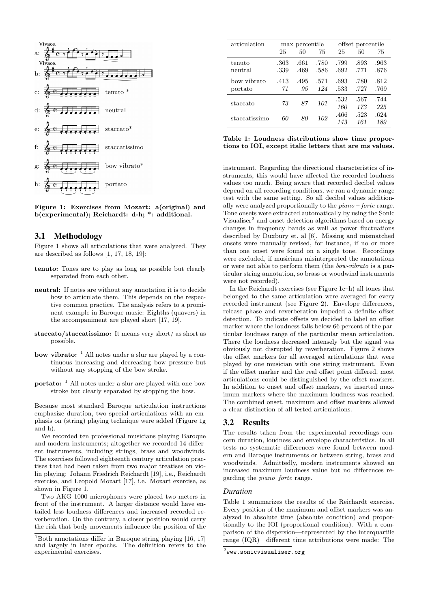

Figure 1: Exercises from Mozart: a(original) and b(experimental); Reichardt: d-h; \*: additional.

#### 3.1 Methodology

Figure 1 shows all articulations that were analyzed. They are described as follows [1, 17, 18, 19]:

- tenuto: Tones are to play as long as possible but clearly separated from each other.
- neutral: If notes are without any annotation it is to decide how to articulate them. This depends on the respective common practice. The analysis refers to a prominent example in Baroque music: Eighths (quavers) in the accompaniment are played short [17, 19].
- staccato/staccatissimo: It means very short/ as short as possible.
- **bow vibrato:**  $\frac{1}{1}$  All notes under a slur are played by a continuous increasing and decreasing bow pressure but without any stopping of the bow stroke.
- portato: <sup>1</sup> All notes under a slur are played with one bow stroke but clearly separated by stopping the bow.

Because most standard Baroque articulation instructions emphasize duration, two special articulations with an emphasis on (string) playing technique were added (Figure 1g and h).

We recorded ten professional musicians playing Baroque and modern instruments; altogether we recorded 14 different instruments, including strings, brass and woodwinds. The exercises followed eighteenth century articulation practises that had been taken from two major treatises on violin playing: Johann Friedrich Reichardt [19], i.e., Reichardt exercise, and Leopold Mozart [17], i.e. Mozart exercise, as shown in Figure 1.

Two AKG 1000 microphones were placed two meters in front of the instrument. A larger distance would have entailed less loudness differences and increased recorded reverberation. On the contrary, a closer position would carry the risk that body movements influence the position of the

| articulation           | max percentile |              |              | offset percentile |              |              |
|------------------------|----------------|--------------|--------------|-------------------|--------------|--------------|
|                        | 25             | 50           | 75           | 25                | 50           | 75           |
| tenuto<br>neutral      | .363<br>.339   | .661<br>.469 | .780<br>.586 | .799<br>.692      | .893<br>.771 | .963<br>.876 |
| bow vibrato<br>portato | .413<br>71     | .495<br>95   | .571<br>124  | .693<br>.533      | .780<br>.727 | .812<br>.769 |
| staccato               | 73             | 87           | 101          | .532<br>160       | .567<br>173  | .744<br>225  |
| staccatissimo          | 60             | 80           | 102          | .466<br>143       | .523<br>161  | .624<br>189  |

|  | Table 1: Loudness distributions show time propor-       |  |  |
|--|---------------------------------------------------------|--|--|
|  | tions to IOI, except italic letters that are ms values. |  |  |

instrument. Regarding the directional characteristics of instruments, this would have affected the recorded loudness values too much. Being aware that recorded decibel values depend on all recording conditions, we ran a dynamic range test with the same setting. So all decibel values additionally were analyzed proportionally to the piano – forte range. Tone onsets were extracted automatically by using the Sonic Visualiser<sup>2</sup> and onset detection algorithms based on energy changes in frequency bands as well as power fluctuations described by Duxbury et. al [6]. Missing and mismatched onsets were manually revised, for instance, if no or more than one onset were found on a single tone. Recordings were excluded, if musicians misinterpreted the annotations or were not able to perform them (the bow-vibrato is a particular string annotation, so brass or woodwind instruments were not recorded).

In the Reichardt exercises (see Figure 1c–h) all tones that belonged to the same articulation were averaged for every recorded instrument (see Figure 2). Envelope differences, release phase and reverberation impeded a definite offset detection. To indicate offsets we decided to label an offset marker where the loudness falls below 66 percent of the particular loudness range of the particular mean articulation. There the loudness decreased intensely but the signal was obviously not disrupted by reverberation. Figure 2 shows the offset markers for all averaged articulations that were played by one musician with one string instrument. Even if the offset marker and the real offset point differed, most articulations could be distinguished by the offset markers. In addition to onset and offset markers, we inserted maximum markers where the maximum loudness was reached. The combined onset, maximum and offset markers allowed a clear distinction of all tested articulations.

#### 3.2 Results

The results taken from the experimental recordings concern duration, loudness and envelope characteristics. In all tests no systematic differences were found between modern and Baroque instruments or between string, brass and woodwinds. Admittedly, modern instruments showed an increased maximum loudness value but no differences regarding the piano–forte range.

#### *Duration*

Table 1 summarizes the results of the Reichardt exercise. Every position of the maximum and offset markers was analyzed in absolute time (absolute condition) and proportionally to the IOI (proportional condition). With a comparison of the dispersion—represented by the interquartile range (IQR)—different time attributions were made: The

 $\overline{^{1}$ Both annotations differ in Baroque string playing [16, 17] and largely in later epochs. The definition refers to the experimental exercises.

 $^{2}$ www.sonicvisualiser.org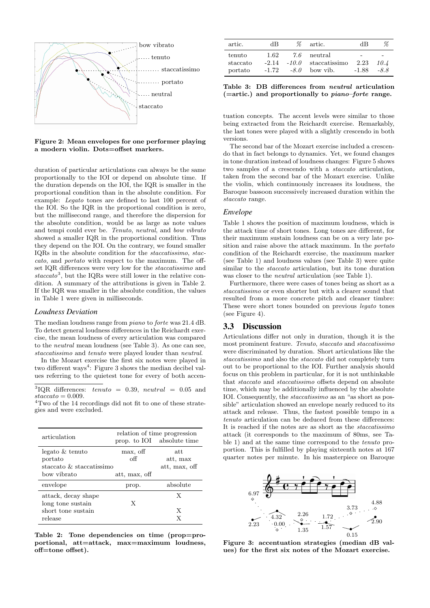

Figure 2: Mean envelopes for one performer playing a modern violin. Dots=offset markers.

duration of particular articulations can always be the same proportionally to the IOI or depend on absolute time. If the duration depends on the IOI, the IQR is smaller in the proportional condition than in the absolute condition. For example: Legato tones are defined to last 100 percent of the IOI. So the IQR in the proportional condition is zero, but the millisecond range, and therefore the dispersion for the absolute condition, would be as large as note values and tempi could ever be. Tenuto, neutral, and bow vibrato showed a smaller IQR in the proportional condition. Thus they depend on the IOI. On the contrary, we found smaller IQRs in the absolute condition for the staccatissimo, staccato, and portato with respect to the maximum. The offset IQR differences were very low for the staccatissimo and  $staccato<sup>3</sup>$ , but the IQRs were still lower in the relative condition. A summary of the attributions is given in Table 2. If the IQR was smaller in the absolute condition, the values in Table 1 were given in milliseconds.

#### *Loudness Deviation*

The median loudness range from piano to forte was 21.4 dB. To detect general loudness differences in the Reichardt exercise, the mean loudness of every articulation was compared to the neutral mean loudness (see Table 3). As one can see, staccatissimo and tenuto were played louder than neutral.

In the Mozart exercise the first six notes were played in two different ways<sup>4</sup>: Figure 3 shows the median decibel values referring to the quietest tone for every of both accen-

<sup>3</sup>IQR differences: tenuto = 0.39, neutral = 0.05 and  $staccato = 0.009$ .

<sup>4</sup>Two of the 14 recordings did not fit to one of these strategies and were excluded.

| articulation                                                              |                                  | relation of time progression<br>prop. to IOI absolute time |
|---------------------------------------------------------------------------|----------------------------------|------------------------------------------------------------|
| legato & tenuto<br>portato<br>staccato $\&$ staccatissimo<br>bow vibrato  | max, off<br>оff<br>att, max, off | att<br>att, max<br>att, max, off                           |
| envelope                                                                  | prop.                            | absolute                                                   |
| attack, decay shape<br>long tone sustain<br>short tone sustain<br>release | X                                | X<br>X<br>X                                                |

Table 2: Tone dependencies on time (prop=proportional, att=attack, max=maximum loudness, off=tone offset).

| artic.                        | dВ              | %             | artic.                                               | dВ                                          | %                        |
|-------------------------------|-----------------|---------------|------------------------------------------------------|---------------------------------------------|--------------------------|
| tenuto<br>staccato<br>portato | 1.62<br>$-1.72$ | 7.6<br>$-8.0$ | neutral<br>$-2.14$ $-10.0$ staccatissimo<br>bow vib. | $\overline{\phantom{0}}$<br>2.23<br>$-1.88$ | $\sim$<br>10.4<br>$-8.8$ |

Table 3: DB differences from neutral articulation  $(=$ artic.) and proportionally to *piano–forte* range.

tuation concepts. The accent levels were similar to those being extracted from the Reichardt exercise. Remarkably, the last tones were played with a slightly crescendo in both versions.

The second bar of the Mozart exercise included a crescendo that in fact belongs to dynamics. Yet, we found changes in tone duration instead of loudness changes: Figure 5 shows two samples of a crescendo with a staccato articulation, taken from the second bar of the Mozart exercise. Unlike the violin, which continuously increases its loudness, the Baroque bassoon successively increased duration within the staccato range.

#### *Envelope*

Table 1 shows the position of maximum loudness, which is the attack time of short tones. Long tones are different, for their maximum sustain loudness can be on a very late position and raise above the attack maximum. In the portato condition of the Reichardt exercise, the maximum marker (see Table 1) and loudness values (see Table 3) were quite similar to the staccato articulation, but its tone duration was closer to the *neutral* articulation (see Table 1).

Furthermore, there were cases of tones being as short as a staccatissimo or even shorter but with a clearer sound that resulted from a more concrete pitch and cleaner timbre: These were short tones bounded on previous *legato* tones (see Figure 4).

#### 3.3 Discussion

Articulations differ not only in duration, though it is the most prominent feature. Tenuto, staccato and staccatissimo were discriminated by duration. Short articulations like the staccatissimo and also the *staccato* did not completely turn out to be proportional to the IOI. Further analysis should focus on this problem in particular, for it is not unthinkable that *staccato* and *staccatissimo* offsets depend on absolute time, which may be additionally influenced by the absolute IOI. Consequently, the staccatissimo as an "as short as possible" articulation showed an envelope nearly reduced to its attack and release. Thus, the fastest possible tempo in a tenuto articulation can be deduced from these differences: It is reached if the notes are as short as the staccatissimo attack (it corresponds to the maximum of 80ms, see Table 1) and at the same time correspond to the tenuto proportion. This is fulfilled by playing sixteenth notes at 167 quarter notes per minute. In his masterpiece on Baroque



Figure 3: accentuation strategies (median dB values) for the first six notes of the Mozart exercise.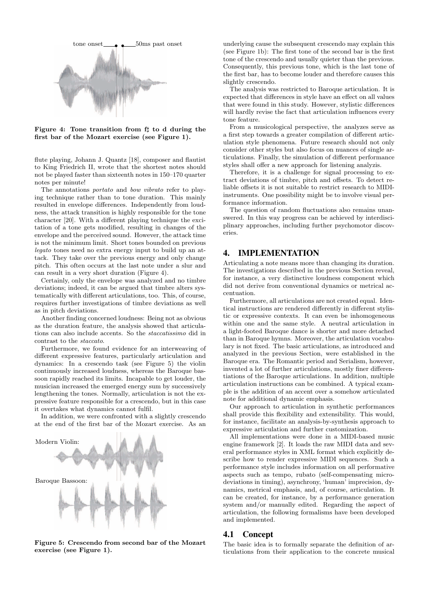

Figure 4: Tone transition from  $f\sharp$  to d during the first bar of the Mozart exercise (see Figure 1).

flute playing, Johann J. Quantz [18], composer and flautist to King Friedrich II, wrote that the shortest notes should not be played faster than sixteenth notes in 150–170 quarter notes per minute!

The annotations portato and bow vibrato refer to playing technique rather than to tone duration. This mainly resulted in envelope differences. Independently from loudness, the attack transition is highly responsible for the tone character [20]. With a different playing technique the excitation of a tone gets modified, resulting in changes of the envelope and the perceived sound. However, the attack time is not the minimum limit. Short tones bounded on previous legato tones need no extra energy input to build up an attack. They take over the previous energy and only change pitch. This often occurs at the last note under a slur and can result in a very short duration (Figure 4).

Certainly, only the envelope was analyzed and no timbre deviations; indeed, it can be argued that timbre alters systematically with different articulations, too. This, of course, requires further investigations of timbre deviations as well as in pitch deviations.

Another finding concerned loudness: Being not as obvious as the duration feature, the analysis showed that articulations can also include accents. So the staccatissimo did in contrast to the staccato.

Furthermore, we found evidence for an interweaving of different expressive features, particularly articulation and dynamics: In a crescendo task (see Figure 5) the violin continuously increased loudness, whereas the Baroque bassoon rapidly reached its limits. Incapable to get louder, the musician increased the emerged energy sum by successively lengthening the tones. Normally, articulation is not the expressive feature responsible for a crescendo, but in this case it overtakes what dynamics cannot fulfil.

In addition, we were confronted with a slightly crescendo at the end of the first bar of the Mozart exercise. As an



Figure 5: Crescendo from second bar of the Mozart exercise (see Figure 1).

underlying cause the subsequent crescendo may explain this (see Figure 1b): The first tone of the second bar is the first tone of the crescendo and usually quieter than the previous. Consequently, this previous tone, which is the last tone of the first bar, has to become louder and therefore causes this slightly crescendo.

The analysis was restricted to Baroque articulation. It is expected that differences in style have an effect on all values that were found in this study. However, stylistic differences will hardly revise the fact that articulation influences every tone feature.

From a musicological perspective, the analyzes serve as a first step towards a greater compilation of different articulation style phenomena. Future research should not only consider other styles but also focus on nuances of single articulations. Finally, the simulation of different performance styles shall offer a new approach for listening analyzis.

Therefore, it is a challenge for signal processing to extract deviations of timbre, pitch and offsets. To detect reliable offsets it is not suitable to restrict research to MIDIinstruments. One possibility might be to involve visual performance information.

The question of random fluctuations also remains unanswered. In this way progress can be achieved by interdisciplinary approaches, including further psychomotor discoveries.

# 4. IMPLEMENTATION

Articulating a note means more than changing its duration. The investigations described in the previous Section reveal, for instance, a very distinctive loudness component which did not derive from conventional dynamics or metrical accentuation.

Furthermore, all articulations are not created equal. Identical instructions are rendered differently in different stylistic or expressive contexts. It can even be inhomogeneous within one and the same style. A neutral articulation in a light-footed Baroque dance is shorter and more detached than in Baroque hymns. Moreover, the articulation vocabulary is not fixed. The basic articulations, as introduced and analyzed in the previous Section, were established in the Baroque era. The Romantic period and Serialism, however, invented a lot of further articulations, mostly finer differentiations of the Baroque articulations. In addition, multiple articulation instructions can be combined. A typical example is the addition of an accent over a somehow articulated note for additional dynamic emphasis.

Our approach to articulation in synthetic performances shall provide this flexibility and extensibility. This would, for instance, facilitate an analysis-by-synthesis approach to expressive articulation and further customization.

All implementations were done in a MIDI-based music engine framework [2]. It loads the raw MIDI data and several performance styles in XML format which explicitly describe how to render expressive MIDI sequences. Such a performance style includes information on all performative aspects such as tempo, rubato (self-compensating microdeviations in timing), asynchrony, 'human' imprecision, dynamics, metrical emphasis, and, of course, articulation. It can be created, for instance, by a performance generation system and/or manually edited. Regarding the aspect of articulation, the following formalisms have been developed and implemented.

#### 4.1 Concept

The basic idea is to formally separate the definition of articulations from their application to the concrete musical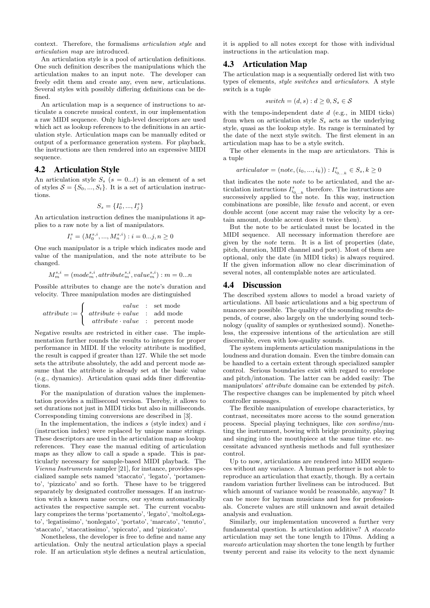context. Therefore, the formalisms articulation style and articulation map are introduced.

An articulation style is a pool of articulation definitions. One such definition describes the manipulations which the articulation makes to an input note. The developer can freely edit them and create any, even new, articulations. Several styles with possibly differing definitions can be defined.

An articulation map is a sequence of instructions to articulate a concrete musical context, in our implementation a raw MIDI sequence. Only high-level descriptors are used which act as lookup references to the definitions in an articulation style. Articulation maps can be manually edited or output of a performance generation system. For playback, the instructions are then rendered into an expressive MIDI sequence.

### 4.2 Articulation Style

An articulation style  $S_s$  ( $s = 0...t$ ) is an element of a set of styles  $S = \{S_0, ..., S_t\}$ . It is a set of articulation instructions.

$$
S_s = \{I_0^s, ..., I_j^s\}
$$

An articulation instruction defines the manipulations it applies to a raw note by a list of manipulators.

$$
I_i^s = (M_0^{s,i},...,M_n^{s,i}): i = 0...j, n \ge 0
$$

One such manipulator is a triple which indicates mode and value of the manipulation, and the note attribute to be changed.

$$
M_m^{s,i} = (mode_m^{s,i}, attribute_m^{s,i}, value_m^{s,i}) : m = 0...n
$$

Possible attributes to change are the note's duration and velocity. Three manipulation modes are distinguished

$$
attribute := \left\{ \begin{array}{cl} value & : & set \ mode \\ attribute + value & : & add \ mode \\ attribute \cdot value & : & percent \ mode \end{array} \right.
$$

Negative results are restricted in either case. The implementation further rounds the results to integers for proper performance in MIDI. If the velocity attribute is modified, the result is capped if greater than 127. While the set mode sets the attribute absolutely, the add and percent mode assume that the attribute is already set at the basic value (e.g., dynamics). Articulation quasi adds finer differentiations.

For the manipulation of duration values the implementation provides a millisecond version. Thereby, it allows to set durations not just in MIDI ticks but also in milliseconds. Corresponding timing conversions are described in [3].

In the implementation, the indices  $s$  (style index) and  $i$ (instruction index) were replaced by unique name strings. These descriptors are used in the articulation map as lookup references. They ease the manual editing of articulation maps as they allow to call a spade a spade. This is particularly necessary for sample-based MIDI playback. The Vienna Instruments sampler [21], for instance, provides specialized sample sets named 'staccato', 'legato', 'portamento', 'pizzicato' and so forth. These have to be triggered separately by designated controller messages. If an instruction with a known name occurs, our system automatically activates the respective sample set. The current vocabulary comprizes the terms 'portamento', 'legato', 'moltoLegato', 'legatissimo', 'nonlegato', 'portato', 'marcato', 'tenuto', 'staccato', 'staccatissimo', 'spiccato', and 'pizzicato'.

Nonetheless, the developer is free to define and name any articulation. Only the neutral articulation plays a special role. If an articulation style defines a neutral articulation, it is applied to all notes except for those with individual instructions in the articulation map.

## 4.3 Articulation Map

The articulation map is a sequentially ordered list with two types of elements, style switches and articulators. A style switch is a tuple

$$
switch = (d, s) : d \ge 0, S_s \in \mathcal{S}
$$

with the tempo-independent date  $d$  (e.g., in MIDI ticks) from when on articulation style  $S_s$  acts as the underlying style, quasi as the lookup style. Its range is terminated by the date of the next style switch. The first element in an articulation map has to be a style switch.

The other elements in the map are articulators. This is a tuple

$$
articulator = (note, (i_0, ..., i_k)) : I_{i_{0...k}}^s \in S_s, k \ge 0
$$

that indicates the note note to be articulated, and the articulation instructions  $I_{i_{0...k}}^s$  therefore. The instructions are successively applied to the note. In this way, instruction combinations are possible, like tenuto and accent, or even double accent (one accent may raise the velocity by a certain amount, double accent does it twice then).

But the note to be articulated must be located in the MIDI sequence. All necessary information therefore are given by the note term. It is a list of properties (date, pitch, duration, MIDI channel and port). Most of them are optional, only the date (in MIDI ticks) is always required. If the given information allow no clear discrimination of several notes, all contemplable notes are articulated.

#### 4.4 Discussion

The described system allows to model a broad variety of articulations. All basic articulations and a big spectrum of nuances are possible. The quality of the sounding results depends, of course, also largely on the underlying sound technology (quality of samples or synthesized sound). Nonetheless, the expressive intentions of the articulation are still discernible, even with low-quality sounds.

The system implements articulation manipulations in the loudness and duration domain. Even the timbre domain can be handled to a certain extent through specialized sampler control. Serious boundaries exist with regard to envelope and pitch/intonation. The latter can be added easily: The manipulators' attribute domaine can be extended by pitch. The respective changes can be implemented by pitch wheel controller messages.

The flexible manipulation of envelope characteristics, by contrast, necessitates more access to the sound generation process. Special playing techniques, like con sordino/muting the instrument, bowing with bridge proximity, playing and singing into the mouthpiece at the same time etc. necessitate advanced synthesis methods and full synthesizer control.

Up to now, articulations are rendered into MIDI sequences without any variance. A human performer is not able to reproduce an articulation that exactly, though. By a certain random variation further liveliness can be introduced. But which amount of variance would be reasonable, anyway? It can be more for layman musicians and less for professionals. Concrete values are still unknown and await detailed analysis and evaluation.

Similarly, our implementation uncovered a further very fundamental question. Is articulation additive? A staccato articulation may set the tone length to 170ms. Adding a marcato articulation may shorten the tone length by further twenty percent and raise its velocity to the next dynamic